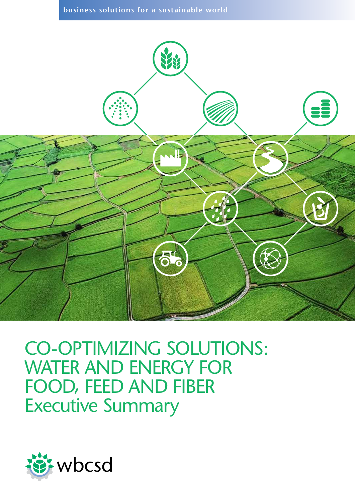### **business solutions for a sustainable world**



CO-OPTIMIZING SOLUTIONS: WATER AND ENERGY FOR FOOD, FEED AND FIBER Executive Summary

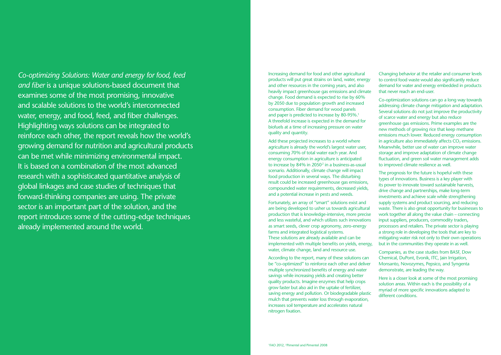*Co-optimizing Solutions: Water and energy for food, feed and fiber* is a unique solutions-based document that examines some of the most promising, innovative and scalable solutions to the world's interconnected water, energy, and food, feed, and fiber challenges. Highlighting ways solutions can be integrated to reinforce each other, the report reveals how the world's growing demand for nutrition and agricultural products can be met while minimizing environmental impact. It is based on a combination of the most advanced research with a sophisticated quantitative analysis of global linkages and case studies of techniques that forward-thinking companies are using. The private sector is an important part of the solution, and the report introduces some of the cutting-edge techniques already implemented around the world.

Increasing demand for food and other agricultural products will put great strains on land, water, energy and other resources in the coming years, and also heavily impact greenhouse gas emissions and climate change. Food demand is expected to rise by 60% by 2050 due to population growth and increased consumption. Fiber demand for wood panels and paper is predicted to increase by 80-95%.<sup>1</sup> A threefold increase is expected in the demand for biofuels at a time of increasing pressure on water quality and quantity.

Add these projected increases to a world where agriculture is already the world's largest water user, consuming 70% of total water each year. And energy consumption in agriculture is anticipated to increase by 84% in  $2050^2$  in a business-as-usual scenario. Additionally, climate change will impact food production in several ways. The disturbing result could be increased greenhouse gas emissions, compounded water requirements, decreased yields, and a potential increase in pests and weeds.

Fortunately, an array of "smart" solutions exist and are being developed to usher us towards agricultural production that is knowledge-intensive, more precise and less wasteful, and which utilizes such innovations as smart seeds, clever crop agronomy, zero-energy farms and integrated logistical systems. These solutions are already available and can be implemented with multiple benefits on yields, energy, water, climate change, land and resource use.

According to the report, many of these solutions can be "co-optimized" to reinforce each other and deliver multiple synchronized benefits of energy and water savings while increasing yields and creating better quality products. Imagine enzymes that help crops grow faster but also aid in the uptake of fertilizer, saving energy and pollution. Or biodegradable plastic mulch that prevents water loss through evaporation, increases soil temperature and accelerates natural nitrogen fixation.

Changing behavior at the retailer and consumer levels to control food waste would also significantly reduce demand for water and energy embedded in products that never reach an end-user.

Co-optimization solutions can go a long way towards addressing climate change mitigation and adaptation. Several solutions do not just improve the productivity of scarce water and energy but also reduce greenhouse gas emissions. Prime examples are the new methods of growing rice that keep methane emissions much lower. Reduced energy consumption in agriculture also immediately affects  $CO<sub>2</sub>$  emissions. Meanwhile, better use of water can improve water storage and improve adaptation of climate change fluctuation, and green soil water management adds to improved climate resilience as well.

The prognosis for the future is hopeful with these types of innovations. Business is a key player with its power to innovate toward sustainable harvests, drive change and partnerships, make long-term investments and achieve scale while strengthening supply systems and product sourcing, and reducing waste. There is also great opportunity for businesses to work together all along the value chain – connecting input suppliers, producers, commodity traders, processors and retailers. The private sector is playing a strong role in developing the tools that are key to mitigating water risk not only to their own operations but in the communities they operate in as well.

Companies, as the case studies from BASF, Dow Chemical, DuPont, Evonik, ITC, Jain Irrigation, Monsanto, Novozymes, Pepsico, and Syngenta demonstrate, are leading the way.

Here is a closer look at some of the most promising solution areas. Within each is the possibility of a myriad of more specific innovations adapted to different conditions.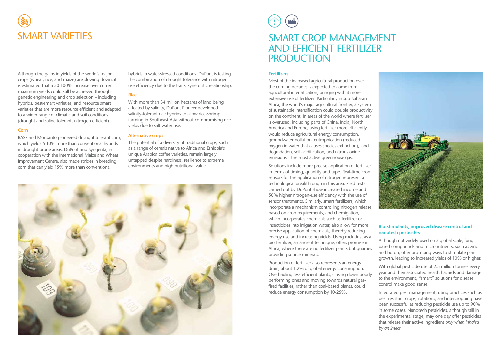Although the gains in yields of the world's major crops (wheat, rice, and maize) are slowing down, it is estimated that a 50-100% increase over current maximum yields could still be achieved through genetic engineering and crop selection – including hybrids, pest-smart varieties, and resource smart varieties that are more resource efficient and adapted to a wider range of climatic and soil conditions (drought and saline tolerant, nitrogen efficient).

#### **Corn**

BASF and Monsanto pioneered drought-tolerant corn, which yields 6-10% more than conventional hybrids in drought-prone areas. DuPont and Syngenta, in cooperation with the International Maize and Wheat Improvement Centre, also made strides in breeding corn that can yield 15% more than conventional

hybrids in water-stressed conditions. DuPont is testing the combination of drought tolerance with nitrogenuse efficiency due to the traits' synergistic relationship.

### **Rice**

With more than 34 million hectares of land being affected by salinity, DuPont Pioneer developed salinity-tolerant rice hybrids to allow rice-shrimp farming in Southeast Asia without compromising rice yields due to salt water use.

### **Alternative crops**

The potential of a diversity of traditional crops, such as a range of cereals native to Africa and Ethiopia's unique Arabica coffee varieties, remain largely untapped despite hardiness, resilience to extreme environments and high nutritional value.



# SMART VARIETIES

### **Fertilizers**

Most of the increased agricultural production over the coming decades is expected to come from agricultural intensification, bringing with it more extensive use of fertilizer. Particularly in sub-Saharan Africa, the world's major agricultural frontier, a system of sustainable intensification could double productivity on the continent. In areas of the world where fertilizer is overused, including parts of China, India, North America and Europe, using fertilizer more efficiently would reduce agricultural energy consumption, groundwater pollution, eutrophication (reduced oxygen in water that causes species extinction), land degradation, soil acidification, and nitrous oxide emissions – the most active greenhouse gas.

Solutions include more precise application of fertilizer in terms of timing, quantity and type. Real-time crop sensors for the application of nitrogen represent a technological breakthrough in this area. Field tests carried out by DuPont show increased income and 50% higher nitrogen-use efficiency with the use of sensor treatments. Similarly, smart fertilizers, which incorporate a mechanism controlling nitrogen release based on crop requirements, and chemigation, which incorporates chemicals such as fertilizer or insecticides into irrigation water, also allow for more precise application of chemicals, thereby reducing energy use and increasing yields. Using rock dust as a bio-fertilizer, an ancient technique, offers promise in Africa, where there are no fertilizer plants but quarries providing source minerals.

Production of fertilizer also represents an energy drain, about 1.2% of global energy consumption. Overhauling less-efficient plants, closing down poorly performing ones and moving towards natural gasfired facilities, rather than coal-based plants, could reduce energy consumption by 10-25%.



### **Bio-stimulants, improved disease control and nanotech pesticides**

Although not widely used on a global scale, fungibased compounds and micronutrients, such as zinc and boron, offer promising ways to stimulate plant growth, leading to increased yields of 10% or higher.

With global pesticide use of 2.5 million tonnes every year and their associated health hazards and damage to the environment, "smart" solutions for disease control make good sense.

Integrated pest management, using practices such as pest-resistant crops, rotations, and intercropping have been successful at reducing pesticide use up to 90% in some cases. Nanotech pesticides, although still in the experimental stage, may one day offer pesticides that release their active ingredient *only when inhaled by an insect*.

### SMART CROP MANAGEMENT AND EFFICIENT FERTILIZER PRODUCTION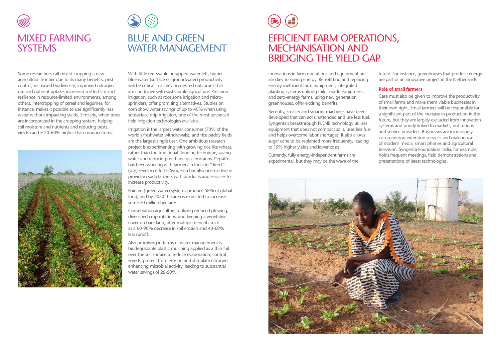Some researchers call mixed cropping a new agricultural frontier due to its many benefits: pest control, increased biodiversity, improved nitrogen use and nutrient uptake, increased soil fertility and resilience in resource-limited environments, among others. Intercropping of cereal and legumes, for instance, makes it possible to use significantly less water without impacting yields. Similarly, when trees are incorporated in the cropping system, helping soil moisture and nutrients and reducing pests, yields can be 20-60% higher than monocultures.



### BLUE AND GREEN WATER MANAGEMENT



With little renewable untapped water left, higher blue water (surface or groundwater) productivity will be critical in achieving desired outcomes that are conducive with sustainable agriculture. Precision irrigation, such as root zone irrigation and microsprinklers, offer promising alternatives. Studies on corn show water savings of up to 40% when using subsurface drip irrigation, one of the most advanced field irrigation technologies available.

Irrigation is the largest water consumer (70% of the world's freshwater withdrawals), and rice paddy fields are the largest single user. One ambitious research project is experimenting with growing rice like wheat, rather than the traditional flooding technique, saving water and reducing methane gas emissions. PepsiCo has been working with farmers in India in "direct" (dry) seeding efforts. Syngenta has also been active in providing such farmers with products and services to increase productivity.

Rainfed (green water) systems produce 58% of global food, and by 2050 the area is expected to increase some 70 million hectares.

Conservation agriculture, utilizing reduced plowing, diversified crop rotations, and keeping a vegetative cover on bare land, offer multiple benefits such as a 60-90% decrease in soil erosion and 40-69% less runoff.

Also promising in terms of water management is biodegradable plastic mulching applied as a thin foil over the soil surface to reduce evaporation, control weeds, protect from erosion and stimulate nitrogen enhancing microbial activity, leading to substantial water savings of 26-50%.

### EFFICIENT FARM OPERATIONS, MECHANISATION AND BRIDGING THE YIELD GAP

Innovations in farm operations and equipment are also key to saving energy. Retrofitting and replacing energy-inefficient farm equipment, integrated planting systems utilizing tailor-made equipment, and zero-energy farms, using new generation greenhouses, offer exciting benefits.

Recently, smaller and smarter machines have been developed that can act unattended and use less fuel. Syngenta's breakthrough PLENE technology utilizes equipment that does not compact soils, uses less fuel and helps overcome labor shortages. It also allows sugar cane to be replanted more frequently, leading to 15% higher yields and lower costs.

Currently, fully energy-independent farms are experimental, but they may be the wave of the



future. For instance, greenhouses that produce energy are part of an innovative project in the Netherlands.

### **Role of small farmers**

Care must also be given to improve the productivity of small farms and make them viable businesses in their own right. Small farmers will be responsible for a significant part of the increase in production in the future, but they are largely excluded from innovation systems and poorly linked to markets, institutions and service providers. Businesses are increasingly co-organizing extension services and making use of modern media, smart phones and agricultural television. Syngenta Foundation India, for example, holds frequent meetings, field demonstrations and presentations of latest technologies.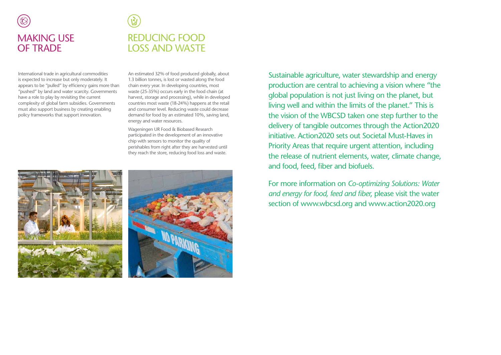International trade in agricultural commodities is expected to increase but only moderately. It appears to be "pulled" by efficiency gains more than "pushed" by land and water scarcity. Governments have a role to play by revisiting the current complexity of global farm subsidies. Governments must also support business by creating enabling policy frameworks that support innovation.

### MAKING USE OF TRADE

## REDUCING FOOD LOSS AND WASTE

An estimated 32% of food produced globally, about 1.3 billion tonnes, is lost or wasted along the food chain every year. In developing countries, most waste (25-35%) occurs early in the food chain (at harvest, storage and processing), while in developed countries most waste (18-24%) happens at the retail and consumer level. Reducing waste could decrease demand for food by an estimated 10%, saving land, energy and water resources.

Wageningen UR Food & Biobased Research participated in the development of an innovative chip with sensors to monitor the quality of perishables from right after they are harvested until they reach the store, reducing food loss and waste.



Sustainable agriculture, water stewardship and energy production are central to achieving a vision where "the global population is not just living on the planet, but living well and within the limits of the planet." This is the vision of the WBCSD taken one step further to the delivery of tangible outcomes through the Action2020 initiative. Action2020 sets out Societal Must-Haves in Priority Areas that require urgent attention, including the release of nutrient elements, water, climate change, and food, feed, fiber and biofuels.

For more information on *Co-optimizing Solutions: Water and energy for food, feed and fiber*, please visit the water section of www.wbcsd.org and www.action2020.org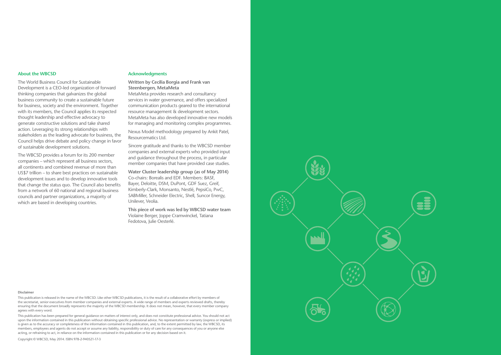#### **About the WBCSD**

The World Business Council for Sustainable Development is a CEO-led organization of forward thinking companies that galvanizes the global business community to create a sustainable future for business, society and the environment. Together with its members, the Council applies its respected thought leadership and effective advocacy to generate constructive solutions and take shared action. Leveraging its strong relationships with stakeholders as the leading advocate for business, the Council helps drive debate and policy change in favor of sustainable development solutions.

The WBCSD provides a forum for its 200 member companies – which represent all business sectors, all continents and combined revenue of more than US\$7 trillion – to share best practices on sustainable development issues and to develop innovative tools that change the status quo. The Council also benefits from a network of 60 national and regional business councils and partner organizations, a majority of which are based in developing countries.

#### **Acknowledgments**

### **Written by Cecilia Borgia and Frank van Steenbergen, MetaMeta**

MetaMeta provides research and consultancy services in water governance, and offers specialized communication products geared to the international resource management & development sectors. MetaMeta has also developed innovative new models for managing and monitoring complex programmes.

Nexus Model methodology prepared by Ankit Patel, Resourcematics Ltd.

Sincere gratitude and thanks to the WBCSD member companies and external experts who provided input and guidance throughout the process, in particular member companies that have provided case studies.

**Water Cluster leadership group (as of May 2014)** Co-chairs: Borealis and EDF. Members: BASF, Bayer, Deloitte, DSM, DuPont, GDF Suez, Greif, Kimberly-Clark, Monsanto, Nestlé, PepsiCo, PwC, SABMiller, Schneider Electric, Shell, Suncor Energy, Unilever, Veolia.

**This piece of work was led by WBCSD water team** Violaine Berger, Joppe Cramwinckel, Tatiana Fedotova, Julie Oesterlé.



This publication is released in the name of the WBCSD. Like other WBCSD publications, it is the result of a collaborative effort by members of the secretariat, senior executives from member companies and external experts. A wide range of members and experts reviewed drafts, thereby ensuring that the document broadly represents the majority of the WBCSD membership. It does not mean, however, that every member company agrees with every word.

This publication has been prepared for general guidance on matters of interest only, and does not constitute professional advice. You should not act upon the information contained in this publication without obtaining specific professional advice. No representation or warranty (express or implied) is given as to the accuracy or completeness of the information contained in this publication, and, to the extent permitted by law, the WBCSD, its members, employees and agents do not accept or assume any liability, responsibility or duty of care for any consequences of you or anyone else acting, or refraining to act, in reliance on the information contained in this publication or for any decision based on it.

Copyright © WBCSD, May 2014. ISBN 978-2-940521-17-3